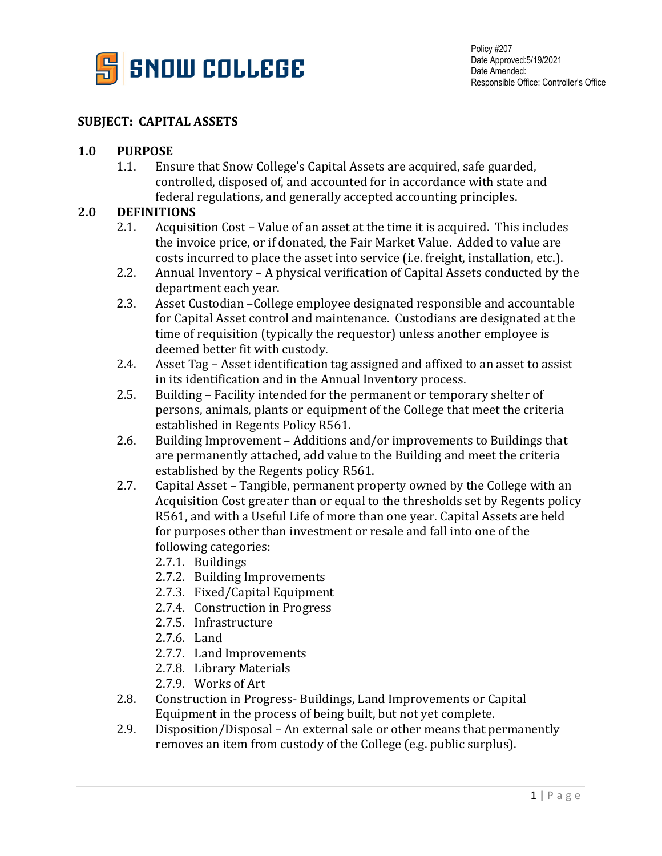

## **SUBJECT: CAPITAL ASSETS**

## **1.0 PURPOSE**

1.1. Ensure that Snow College's Capital Assets are acquired, safe guarded, controlled, disposed of, and accounted for in accordance with state and federal regulations, and generally accepted accounting principles.

## **2.0 DEFINITIONS**

- 2.1. Acquisition Cost Value of an asset at the time it is acquired. This includes the invoice price, or if donated, the Fair Market Value. Added to value are costs incurred to place the asset into service (i.e. freight, installation, etc.).
- 2.2. Annual Inventory A physical verification of Capital Assets conducted by the department each year.
- 2.3. Asset Custodian –College employee designated responsible and accountable for Capital Asset control and maintenance. Custodians are designated at the time of requisition (typically the requestor) unless another employee is deemed better fit with custody.
- 2.4. Asset Tag Asset identification tag assigned and affixed to an asset to assist in its identification and in the Annual Inventory process.
- 2.5. Building Facility intended for the permanent or temporary shelter of persons, animals, plants or equipment of the College that meet the criteria established in Regents Policy R561.
- 2.6. Building Improvement Additions and/or improvements to Buildings that are permanently attached, add value to the Building and meet the criteria established by the Regents policy R561.
- 2.7. Capital Asset Tangible, permanent property owned by the College with an Acquisition Cost greater than or equal to the thresholds set by Regents policy R561, and with a Useful Life of more than one year. Capital Assets are held for purposes other than investment or resale and fall into one of the following categories:
	- 2.7.1. Buildings
	- 2.7.2. Building Improvements
	- 2.7.3. Fixed/Capital Equipment
	- 2.7.4. Construction in Progress
	- 2.7.5. Infrastructure
	- 2.7.6. Land
	- 2.7.7. Land Improvements
	- 2.7.8. Library Materials
	- 2.7.9. Works of Art
- 2.8. Construction in Progress- Buildings, Land Improvements or Capital Equipment in the process of being built, but not yet complete.
- 2.9. Disposition/Disposal An external sale or other means that permanently removes an item from custody of the College (e.g. public surplus).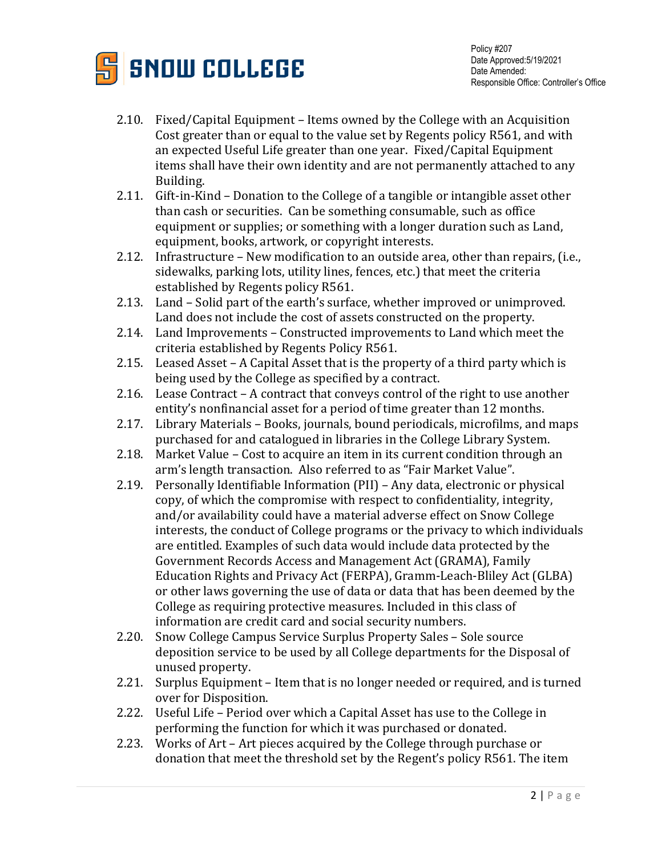

- 2.10. Fixed/Capital Equipment Items owned by the College with an Acquisition Cost greater than or equal to the value set by Regents policy R561, and with an expected Useful Life greater than one year. Fixed/Capital Equipment items shall have their own identity and are not permanently attached to any Building.
- 2.11. Gift-in-Kind Donation to the College of a tangible or intangible asset other than cash or securities. Can be something consumable, such as office equipment or supplies; or something with a longer duration such as Land, equipment, books, artwork, or copyright interests.
- 2.12. Infrastructure New modification to an outside area, other than repairs, (i.e., sidewalks, parking lots, utility lines, fences, etc.) that meet the criteria established by Regents policy R561.
- 2.13. Land Solid part of the earth's surface, whether improved or unimproved. Land does not include the cost of assets constructed on the property.
- 2.14. Land Improvements Constructed improvements to Land which meet the criteria established by Regents Policy R561.
- 2.15. Leased Asset A Capital Asset that is the property of a third party which is being used by the College as specified by a contract.
- 2.16. Lease Contract A contract that conveys control of the right to use another entity's nonfinancial asset for a period of time greater than 12 months.
- 2.17. Library Materials Books, journals, bound periodicals, microfilms, and maps purchased for and catalogued in libraries in the College Library System.
- 2.18. Market Value Cost to acquire an item in its current condition through an arm's length transaction. Also referred to as "Fair Market Value".
- 2.19. Personally Identifiable Information (PII) Any data, electronic or physical copy, of which the compromise with respect to confidentiality, integrity, and/or availability could have a material adverse effect on Snow College interests, the conduct of College programs or the privacy to which individuals are entitled. Examples of such data would include data protected by the Government Records Access and Management Act (GRAMA), Family Education Rights and Privacy Act (FERPA), Gramm-Leach-Bliley Act (GLBA) or other laws governing the use of data or data that has been deemed by the College as requiring protective measures. Included in this class of information are credit card and social security numbers.
- 2.20. Snow College Campus Service Surplus Property Sales Sole source deposition service to be used by all College departments for the Disposal of unused property.
- 2.21. Surplus Equipment Item that is no longer needed or required, and is turned over for Disposition.
- 2.22. Useful Life Period over which a Capital Asset has use to the College in performing the function for which it was purchased or donated.
- 2.23. Works of Art Art pieces acquired by the College through purchase or donation that meet the threshold set by the Regent's policy R561. The item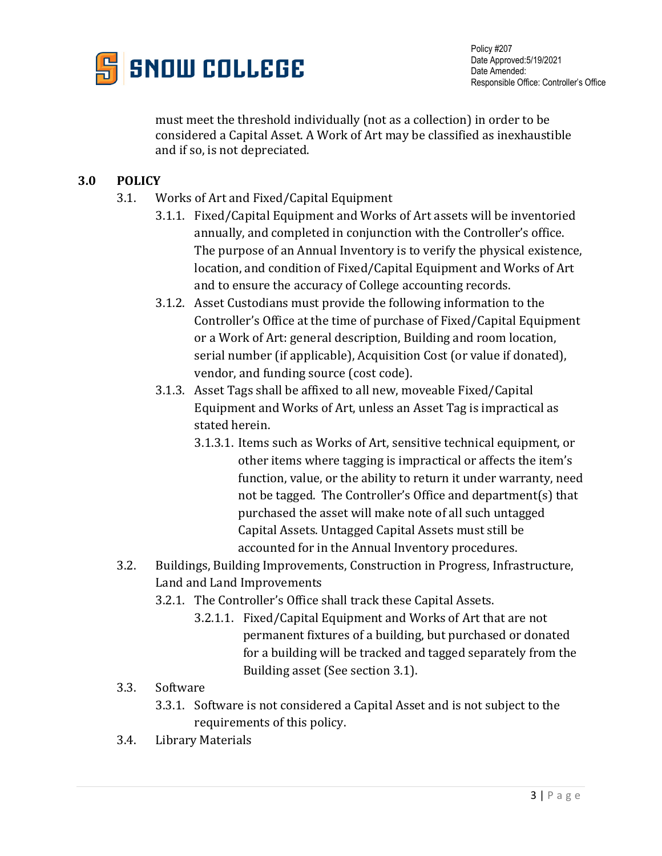

Policy #207 Date Approved:5/19/2021 Date Amended: Responsible Office: Controller's Office

must meet the threshold individually (not as a collection) in order to be considered a Capital Asset. A Work of Art may be classified as inexhaustible and if so, is not depreciated.

## **3.0 POLICY**

- 3.1. Works of Art and Fixed/Capital Equipment
	- 3.1.1. Fixed/Capital Equipment and Works of Art assets will be inventoried annually, and completed in conjunction with the Controller's office. The purpose of an Annual Inventory is to verify the physical existence, location, and condition of Fixed/Capital Equipment and Works of Art and to ensure the accuracy of College accounting records.
	- 3.1.2. Asset Custodians must provide the following information to the Controller's Office at the time of purchase of Fixed/Capital Equipment or a Work of Art: general description, Building and room location, serial number (if applicable), Acquisition Cost (or value if donated), vendor, and funding source (cost code).
	- 3.1.3. Asset Tags shall be affixed to all new, moveable Fixed/Capital Equipment and Works of Art, unless an Asset Tag is impractical as stated herein.
		- 3.1.3.1. Items such as Works of Art, sensitive technical equipment, or other items where tagging is impractical or affects the item's function, value, or the ability to return it under warranty, need not be tagged. The Controller's Office and department(s) that purchased the asset will make note of all such untagged Capital Assets. Untagged Capital Assets must still be accounted for in the Annual Inventory procedures.
- 3.2. Buildings, Building Improvements, Construction in Progress, Infrastructure, Land and Land Improvements
	- 3.2.1. The Controller's Office shall track these Capital Assets.
		- 3.2.1.1. Fixed/Capital Equipment and Works of Art that are not permanent fixtures of a building, but purchased or donated for a building will be tracked and tagged separately from the Building asset (See section 3.1).
- 3.3. Software
	- 3.3.1. Software is not considered a Capital Asset and is not subject to the requirements of this policy.
- 3.4. Library Materials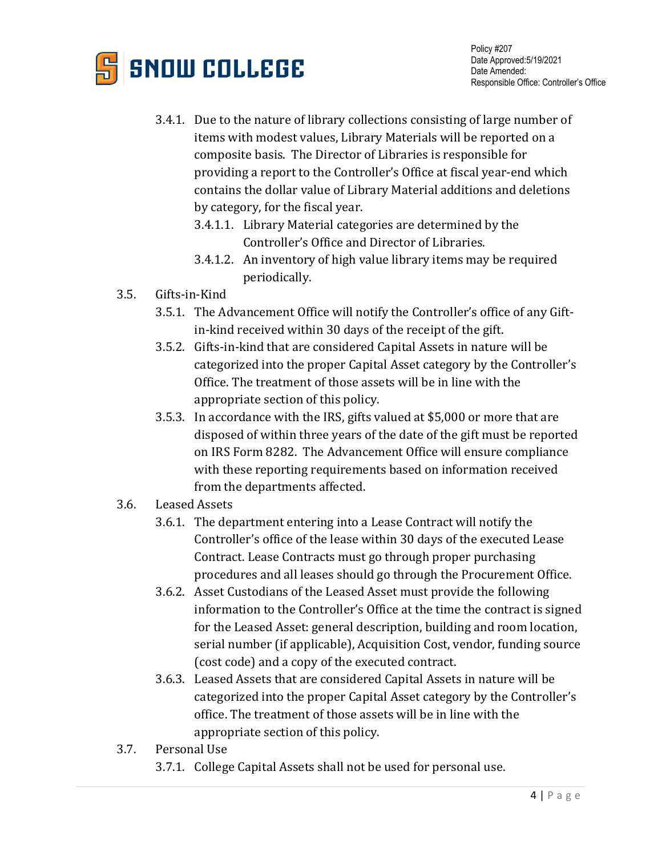

- 3.4.1. Due to the nature of library collections consisting of large number of items with modest values, Library Materials will be reported on a composite basis. The Director of Libraries is responsible for providing a report to the Controller's Office at fiscal year-end which contains the dollar value of Library Material additions and deletions by category, for the fiscal year.
	- 3.4.1.1. Library Material categories are determined by the Controller's Office and Director of Libraries.
	- 3.4.1.2. An inventory of high value library items may be required periodically.
- 3.5. Gifts-in-Kind
	- 3.5.1. The Advancement Office will notify the Controller's office of any Giftin-kind received within 30 days of the receipt of the gift.
	- 3.5.2. Gifts-in-kind that are considered Capital Assets in nature will be categorized into the proper Capital Asset category by the Controller's Office. The treatment of those assets will be in line with the appropriate section of this policy.
	- 3.5.3. In accordance with the IRS, gifts valued at \$5,000 or more that are disposed of within three years of the date of the gift must be reported on IRS Form 8282. The Advancement Office will ensure compliance with these reporting requirements based on information received from the departments affected.
- 3.6. Leased Assets
	- 3.6.1. The department entering into a Lease Contract will notify the Controller's office of the lease within 30 days of the executed Lease Contract. Lease Contracts must go through proper purchasing procedures and all leases should go through the Procurement Office.
	- 3.6.2. Asset Custodians of the Leased Asset must provide the following information to the Controller's Office at the time the contract is signed for the Leased Asset: general description, building and room location, serial number (if applicable), Acquisition Cost, vendor, funding source (cost code) and a copy of the executed contract.
	- 3.6.3. Leased Assets that are considered Capital Assets in nature will be categorized into the proper Capital Asset category by the Controller's office. The treatment of those assets will be in line with the appropriate section of this policy.
- 3.7. Personal Use
	- 3.7.1. College Capital Assets shall not be used for personal use.